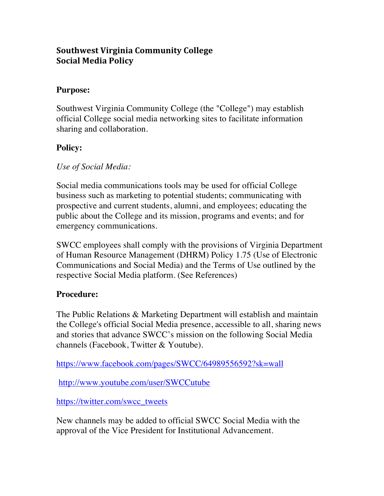# **Southwest Virginia Community College Social Media Policy**

### **Purpose:**

 Southwest Virginia Community College (the "College") may establish official College social media networking sites to facilitate information sharing and collaboration.

## **Policy:**

### *Use of Social Media:*

 Social media communications tools may be used for official College business such as marketing to potential students; communicating with prospective and current students, alumni, and employees; educating the public about the College and its mission, programs and events; and for emergency communications.

 SWCC employees shall comply with the provisions of Virginia Department of Human Resource Management (DHRM) Policy 1.75 (Use of Electronic Communications and Social Media) and the Terms of Use outlined by the respective Social Media platform. (See References)

#### **Procedure:**

 The Public Relations & Marketing Department will establish and maintain the College's official Social Media presence, accessible to all, sharing news and stories that advance SWCC's mission on the following Social Media channels (Facebook, Twitter & Youtube).

https://www.facebook.com/pages/SWCC/64989556592?sk=wall

http://www.youtube.com/user/SWCCutube

https://twitter.com/swcc\_tweets

https://www.facebook.com/pages/SWCC/64989556592?sk=wall<br>http://www.youtube.com/user/SWCCutube<br>https://twitter.com/swcc\_tweets<br>New channels may be added to official SWCC Social Media with the approval of the Vice President for Institutional Advancement.